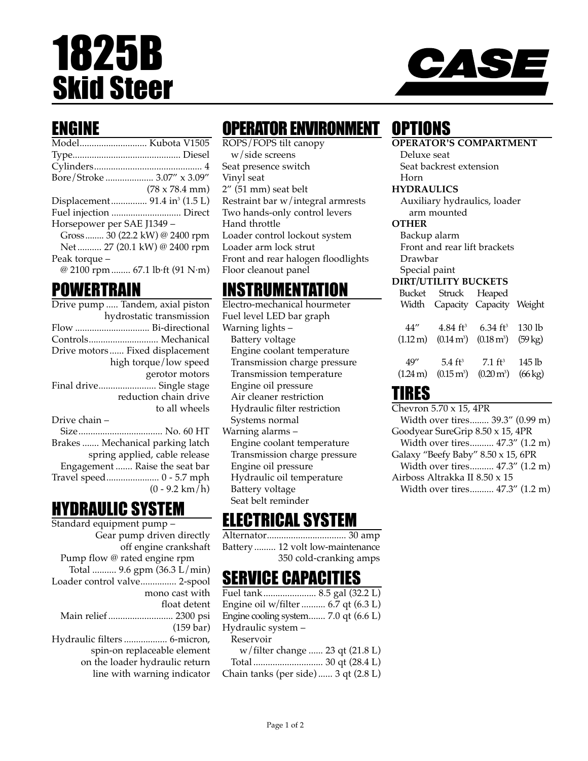# 1825B Skid Steer



## ENGINE

|                            | Model Kubota V1505                        |
|----------------------------|-------------------------------------------|
|                            |                                           |
|                            |                                           |
|                            | Bore/Stroke  3.07" x 3.09"                |
|                            | $(78 \times 78.4 \text{ mm})$             |
|                            | Displacement 91.4 in <sup>3</sup> (1.5 L) |
|                            |                                           |
| Horsepower per SAE J1349 - |                                           |
|                            | Gross 30 (22.2 kW) @ 2400 rpm             |
|                            | Net  27 (20.1 kW) @ 2400 rpm              |
| Peak torque -              |                                           |
|                            | @ 2100 rpm  67.1 lb·ft (91 N·m)           |
|                            |                                           |

### POWERTRAIN

| Drive pump  Tandem, axial piston |
|----------------------------------|
| hydrostatic transmission         |
| Flow  Bi-directional             |
| Controls Mechanical              |
| Drive motors Fixed displacement  |
| high torque/low speed            |
| gerotor motors                   |
| Final drive Single stage         |
| reduction chain drive            |
| to all wheels                    |
| Drive chain –                    |
|                                  |
| Brakes  Mechanical parking latch |
| spring applied, cable release    |
| Engagement  Raise the seat bar   |
| Travel speed 0 - 5.7 mph         |
| $(0 - 9.2 \text{ km/h})$         |

## HYDRAULIC SYSTEM

| Standard equipment pump -      |
|--------------------------------|
| Gear pump driven directly      |
| off engine crankshaft          |
| Pump flow @ rated engine rpm   |
| Total  9.6 gpm (36.3 L/min)    |
| Loader control valve 2-spool   |
| mono cast with                 |
| float detent                   |
| Main relief  2300 psi          |
| $(159 \text{ bar})$            |
| Hydraulic filters  6-micron,   |
| spin-on replaceable element    |
| on the loader hydraulic return |
| line with warning indicator    |
|                                |

# OPERATOR ENVIRONMENT

ROPS/FOPS tilt canopy w/side screens Seat presence switch Vinyl seat 2" (51 mm) seat belt Restraint bar w/integral armrests Two hands-only control levers Hand throttle Loader control lockout system Loader arm lock strut Front and rear halogen floodlights Floor cleanout panel

# INSTRUMENTATION

Electro-mechanical hourmeter Fuel level LED bar graph Warning lights – Battery voltage Engine coolant temperature Transmission charge pressure Transmission temperature Engine oil pressure Air cleaner restriction Hydraulic filter restriction Systems normal Warning alarms – Engine coolant temperature Transmission charge pressure Engine oil pressure Hydraulic oil temperature Battery voltage Seat belt reminder

# ELECTRICAL SYSTEM

Alternator................................. 30 amp Battery ......... 12 volt low-maintenance 350 cold-cranking amps

## SERVICE CAPACITIES

Fuel tank...................... 8.5 gal (32.2 L) Engine oil w/filter .......... 6.7 qt (6.3 L) Engine cooling system....... 7.0 qt (6.6 L) Hydraulic system – Reservoir w/filter change ...... 23 qt (21.8 L) Total ............................. 30 qt (28.4 L) Chain tanks (per side) ...... 3 qt (2.8 L)

# **OPTIONS**

**OPERATOR'S COMPARTMENT**

Deluxe seat Seat backrest extension Horn

#### **HYDRAULICS**

Auxiliary hydraulics, loader arm mounted

#### **OTHER**

Backup alarm Front and rear lift brackets Drawbar Special paint

#### **DIRT/UTILITY BUCKETS**

| Bucket<br>Width       |                         | Struck Heaped<br>Capacity Capacity Weight |                      |
|-----------------------|-------------------------|-------------------------------------------|----------------------|
| 44″                   | $4.84 \text{ ft}^3$     | 6.34 ft <sup>3</sup> 130 lb               | $(59 \text{ kg})$    |
| $(1.12 \,\mathrm{m})$ | $(0.14 \,\mathrm{m}^3)$ | $(0.18 \,\mathrm{m}^3)$                   |                      |
| 49''                  | $5.4 \text{ ft}^3$      | $7.1 \text{ ft}^3$                        | 145 lb               |
| $(1.24 \,\mathrm{m})$ | $(0.15 \,\mathrm{m}^3)$ | $(0.20 \,\mathrm{m}^3)$                   | $(66 \,\mathrm{kg})$ |

### TIRES

Chevron 5.70 x 15, 4PR Width over tires........ 39.3" (0.99 m) Goodyear SureGrip 8.50 x 15, 4PR Width over tires.......... 47.3" (1.2 m) Galaxy "Beefy Baby" 8.50 x 15, 6PR Width over tires.......... 47.3" (1.2 m) Airboss Altrakka II 8.50 x 15 Width over tires.......... 47.3" (1.2 m)